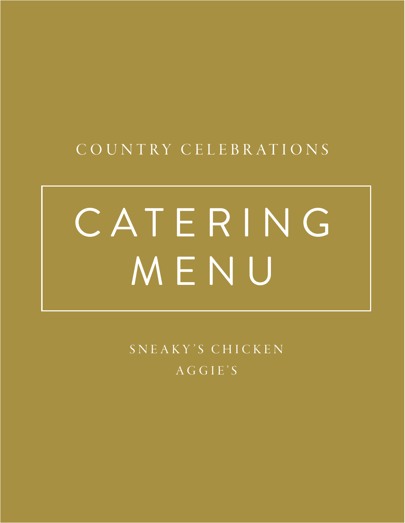## C O U N T RY C E L E B R AT I O N S

# C A T E R I N G MENU

SNEAKY'S CHICKEN AGGIE'S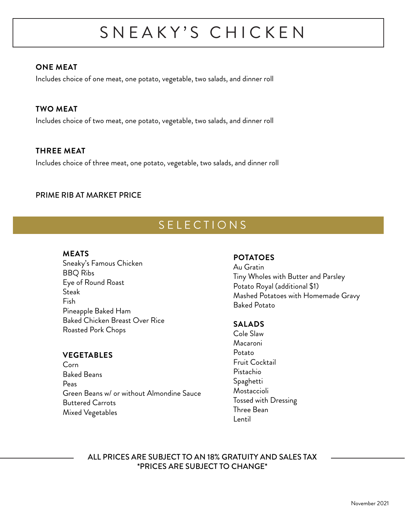# SNEAKY'S CHICKEN

### **ONE MEAT**

Includes choice of one meat, one potato, vegetable, two salads, and dinner roll

### **TWO MEAT**

Includes choice of two meat, one potato, vegetable, two salads, and dinner roll

### **THREE MEAT**

Includes choice of three meat, one potato, vegetable, two salads, and dinner roll

### PRIME RIB AT MARKET PRICE

### SELECTIONS

#### **MEATS**

Sneaky's Famous Chicken BBQ Ribs Eye of Round Roast **Steak** Fish Pineapple Baked Ham Baked Chicken Breast Over Rice Roasted Pork Chops

### **VEGETABLES**

Corn Baked Beans Peas Green Beans w/ or without Almondine Sauce Buttered Carrots Mixed Vegetables

#### **POTATOES**

Au Gratin Tiny Wholes with Butter and Parsley Potato Royal (additional \$1) Mashed Potatoes with Homemade Gravy Baked Potato

#### **SALADS**

Cole Slaw Macaroni Potato Fruit Cocktail Pistachio Spaghetti Mostaccioli Tossed with Dressing Three Bean Lentil

ALL PRICES ARE SUBJECT TO AN 18% GRATUITY AND SALES TAX \*PRICES ARE SUBJECT TO CHANGE\*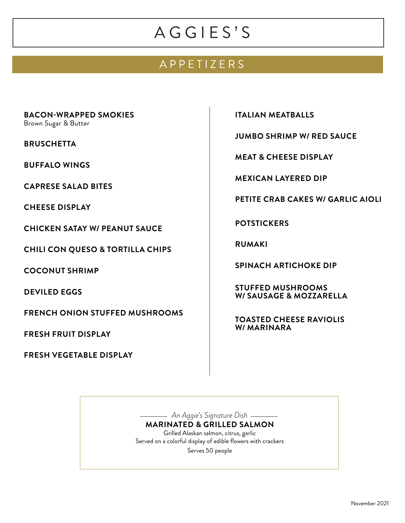### APPETIZERS

**BACON-WRAPPED SMOKIES**

Brown Sugar & Butter

**BRUSCHETTA**

**BUFFALO WINGS**

**CAPRESE SALAD BITES**

**CHEESE DISPLAY**

**CHICKEN SATAY W/ PEANUT SAUCE**

**CHILI CON QUESO & TORTILLA CHIPS**

**COCONUT SHRIMP**

**DEVILED EGGS**

**FRENCH ONION STUFFED MUSHROOMS**

**FRESH FRUIT DISPLAY**

**FRESH VEGETABLE DISPLAY**

**ITALIAN MEATBALLS**

**JUMBO SHRIMP W/ RED SAUCE**

**MEAT & CHEESE DISPLAY**

**MEXICAN LAYERED DIP**

**PETITE CRAB CAKES W/ GARLIC AIOLI**

**POTSTICKERS**

**RUMAKI**

**SPINACH ARTICHOKE DIP**

**STUFFED MUSHROOMS W/ SAUSAGE & MOZZARELLA**

**TOASTED CHEESE RAVIOLIS W/ MARINARA**

*An Aggie's Signature Dish* **MARINATED & GRILLED SALMON** Grilled Alaskan salmon, citrus, garlic Served on a colorful display of edible flowers with crackers Serves 50 people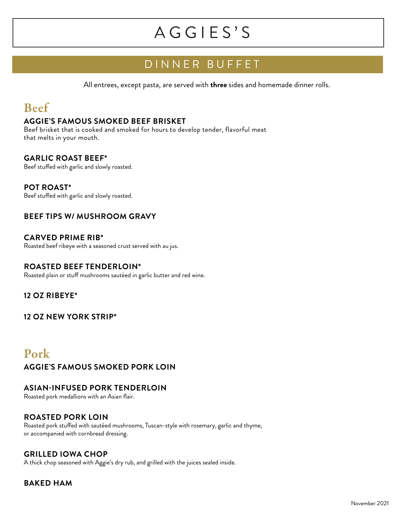### DINNER BUFFET

All entrees, except pasta, are served with **three** sides and homemade dinner rolls.

### Beef

#### **AGGIE'S FAMOUS SMOKED BEEF BRISKET**

Beef brisket that is cooked and smoked for hours to develop tender, flavorful meat that melts in your mouth.

### **GARLIC ROAST BEEF\***

Beef stuffed with garlic and slowly roasted.

#### **POT ROAST\***

Beef stuffed with garlic and slowly roasted.

### **BEEF TIPS W/ MUSHROOM GRAVY**

**CARVED PRIME RIB\*** Roasted beef ribeye with a seasoned crust served with au jus.

### **ROASTED BEEF TENDERLOIN\***

Roasted plain or stuff mushrooms sautéed in garlic butter and red wine.

### **12 OZ RIBEYE\***

**12 OZ NEW YORK STRIP\***

### Pork

**AGGIE'S FAMOUS SMOKED PORK LOIN**

### **ASIAN-INFUSED PORK TENDERLOIN**

Roasted pork medallions with an Asian flair.

### **ROASTED PORK LOIN**

Roasted pork stuffed with sautéed mushrooms, Tuscan-style with rosemary, garlic and thyme, or accompanied with cornbread dressing.

### **GRILLED IOWA CHOP**

A thick chop seasoned with Aggie's dry rub, and grilled with the juices sealed inside.

### **BAKED HAM**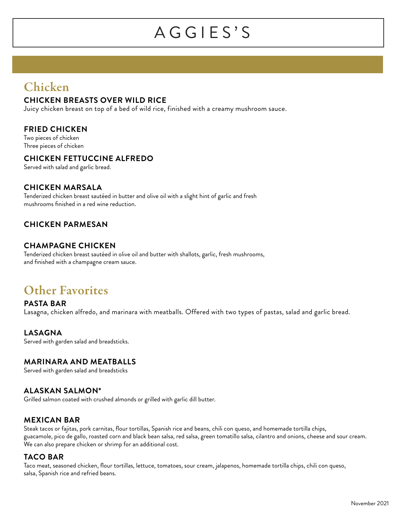### Chicken

### **CHICKEN BREASTS OVER WILD RICE**

Juicy chicken breast on top of a bed of wild rice, finished with a creamy mushroom sauce.

### **FRIED CHICKEN**

Two pieces of chicken Three pieces of chicken

### **CHICKEN FETTUCCINE ALFREDO**

Served with salad and garlic bread.

### **CHICKEN MARSALA**

Tenderized chicken breast sautéed in butter and olive oil with a slight hint of garlic and fresh mushrooms finished in a red wine reduction.

### **CHICKEN PARMESAN**

### **CHAMPAGNE CHICKEN**

Tenderized chicken breast sautéed in olive oil and butter with shallots, garlic, fresh mushrooms, and finished with a champagne cream sauce.

### Other Favorites

**PASTA BAR** Lasagna, chicken alfredo, and marinara with meatballs. Offered with two types of pastas, salad and garlic bread.

### **LASAGNA**

Served with garden salad and breadsticks.

### **MARINARA AND MEATBALLS**

Served with garden salad and breadsticks

#### **ALASKAN SALMON\***

Grilled salmon coated with crushed almonds or grilled with garlic dill butter.

#### **MEXICAN BAR**

Steak tacos or fajitas, pork carnitas, flour tortillas, Spanish rice and beans, chili con queso, and homemade tortilla chips, guacamole, pico de gallo, roasted corn and black bean salsa, red salsa, green tomatillo salsa, cilantro and onions, cheese and sour cream. We can also prepare chicken or shrimp for an additional cost.

#### **TACO BAR**

Taco meat, seasoned chicken, flour tortillas, lettuce, tomatoes, sour cream, jalapenos, homemade tortilla chips, chili con queso, salsa, Spanish rice and refried beans.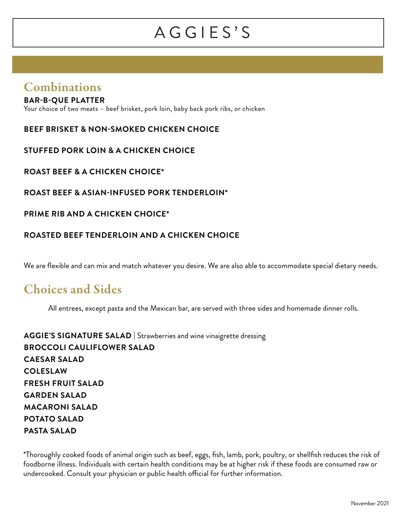### Combinations

### **BAR-B-QUE PLATTER**

Your choice of two meats – beef brisket, pork loin, baby back pork ribs, or chicken

**BEEF BRISKET & NON-SMOKED CHICKEN CHOICE**

**STUFFED PORK LOIN & A CHICKEN CHOICE** 

**ROAST BEEF & A CHICKEN CHOICE\***

**ROAST BEEF & ASIAN-INFUSED PORK TENDERLOIN\***

### **PRIME RIB AND A CHICKEN CHOICE\***

### **ROASTED BEEF TENDERLOIN AND A CHICKEN CHOICE**

We are flexible and can mix and match whatever you desire. We are also able to accommodate special dietary needs.

### Choices and Sides

All entrees, except pasta and the Mexican bar, are served with three sides and homemade dinner rolls.

**AGGIE'S SIGNATURE SALAD |** Strawberries and wine vinaigrette dressing **BROCCOLI CAULIFLOWER SALAD CAESAR SALAD COLESLAW FRESH FRUIT SALAD GARDEN SALAD MACARONI SALAD POTATO SALAD PASTA SALAD**

\*Thoroughly cooked foods of animal origin such as beef, eggs, fish, lamb, pork, poultry, or shellfish reduces the risk of foodborne illness. Individuals with certain health conditions may be at higher risk if these foods are consumed raw or undercooked. Consult your physician or public health official for further information.